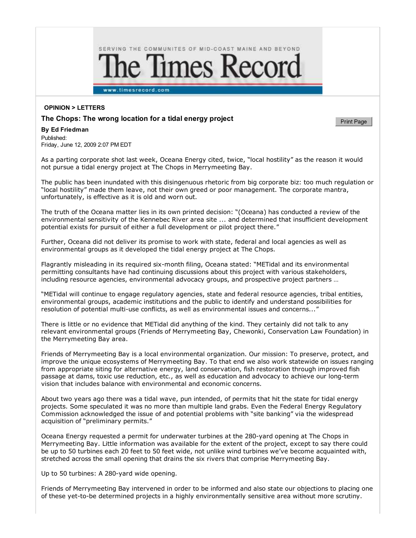

## **OPINION > LETTERS**

## **The Chops: The wrong location for a tidal energy project**

## **By Ed Friedman**

Published: Friday, June 12, 2009 2:07 PM EDT

As a parting corporate shot last week, Oceana Energy cited, twice, "local hostility" as the reason it would not pursue a tidal energy project at The Chops in Merrymeeting Bay.

The public has been inundated with this disingenuous rhetoric from big corporate biz: too much regulation or "local hostility" made them leave, not their own greed or poor management. The corporate mantra, unfortunately, is effective as it is old and worn out.

**Print Page** 

The truth of the Oceana matter lies in its own printed decision: "(Oceana) has conducted a review of the environmental sensitivity of the Kennebec River area site ... and determined that insufficient development potential exists for pursuit of either a full development or pilot project there."

Further, Oceana did not deliver its promise to work with state, federal and local agencies as well as environmental groups as it developed the tidal energy project at The Chops.

Flagrantly misleading in its required six-month filing, Oceana stated: "METidal and its environmental permitting consultants have had continuing discussions about this project with various stakeholders, including resource agencies, environmental advocacy groups, and prospective project partners …

"METidal will continue to engage regulatory agencies, state and federal resource agencies, tribal entities, environmental groups, academic institutions and the public to identify and understand possibilities for resolution of potential multi-use conflicts, as well as environmental issues and concerns..."

There is little or no evidence that METidal did anything of the kind. They certainly did not talk to any relevant environmental groups (Friends of Merrymeeting Bay, Chewonki, Conservation Law Foundation) in the Merrymeeting Bay area.

Friends of Merrymeeting Bay is a local environmental organization. Our mission: To preserve, protect, and improve the unique ecosystems of Merrymeeting Bay. To that end we also work statewide on issues ranging from appropriate siting for alternative energy, land conservation, fish restoration through improved fish passage at dams, toxic use reduction, etc., as well as education and advocacy to achieve our long-term vision that includes balance with environmental and economic concerns.

About two years ago there was a tidal wave, pun intended, of permits that hit the state for tidal energy projects. Some speculated it was no more than multiple land grabs. Even the Federal Energy Regulatory Commission acknowledged the issue of and potential problems with "site banking" via the widespread acquisition of "preliminary permits."

Oceana Energy requested a permit for underwater turbines at the 280-yard opening at The Chops in Merrymeeting Bay. Little information was available for the extent of the project, except to say there could be up to 50 turbines each 20 feet to 50 feet wide, not unlike wind turbines we've become acquainted with, stretched across the small opening that drains the six rivers that comprise Merrymeeting Bay.

Up to 50 turbines: A 280-yard wide opening.

Friends of Merrymeeting Bay intervened in order to be informed and also state our objections to placing one of these yet-to-be determined projects in a highly environmentally sensitive area without more scrutiny.